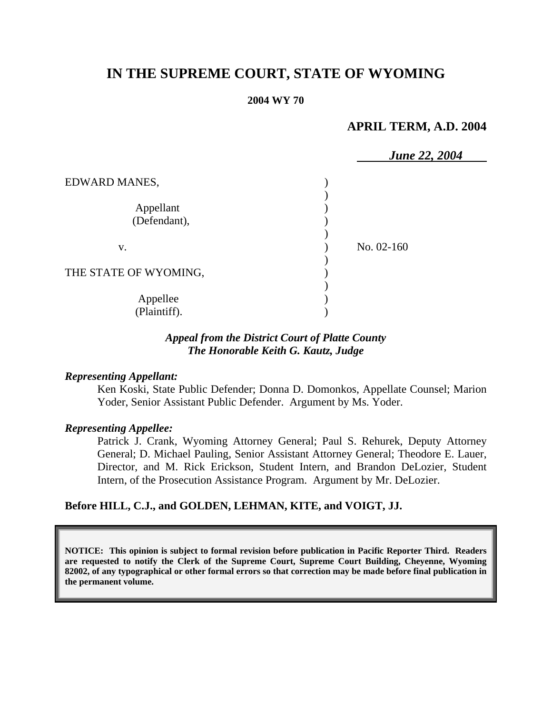# **IN THE SUPREME COURT, STATE OF WYOMING**

#### **2004 WY 70**

# **APRIL TERM, A.D. 2004**

|                           | <b>June 22, 2004</b> |
|---------------------------|----------------------|
| EDWARD MANES,             |                      |
| Appellant<br>(Defendant), |                      |
| V.                        | No. 02-160           |
| THE STATE OF WYOMING,     |                      |
| Appellee<br>(Plaintiff).  |                      |

# *Appeal from the District Court of Platte County The Honorable Keith G. Kautz, Judge*

#### *Representing Appellant:*

Ken Koski, State Public Defender; Donna D. Domonkos, Appellate Counsel; Marion Yoder, Senior Assistant Public Defender. Argument by Ms. Yoder.

#### *Representing Appellee:*

Patrick J. Crank, Wyoming Attorney General; Paul S. Rehurek, Deputy Attorney General; D. Michael Pauling, Senior Assistant Attorney General; Theodore E. Lauer, Director, and M. Rick Erickson, Student Intern, and Brandon DeLozier, Student Intern, of the Prosecution Assistance Program. Argument by Mr. DeLozier.

### **Before HILL, C.J., and GOLDEN, LEHMAN, KITE, and VOIGT, JJ.**

**NOTICE: This opinion is subject to formal revision before publication in Pacific Reporter Third. Readers are requested to notify the Clerk of the Supreme Court, Supreme Court Building, Cheyenne, Wyoming 82002, of any typographical or other formal errors so that correction may be made before final publication in the permanent volume.**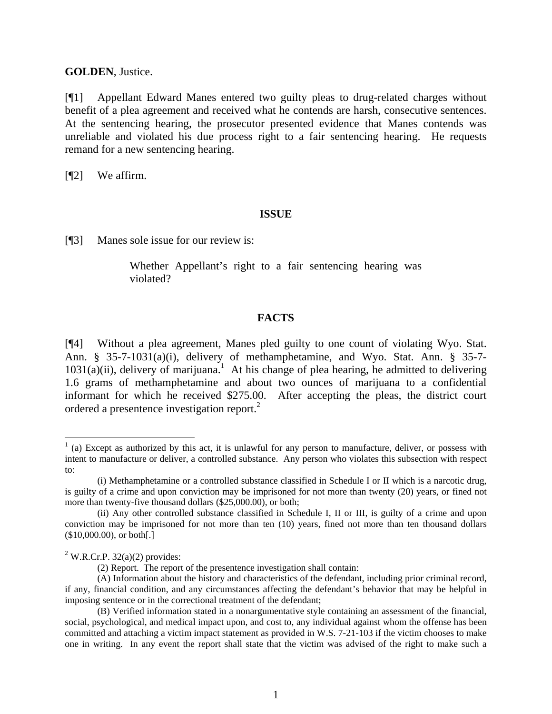#### **GOLDEN**, Justice.

[¶1] Appellant Edward Manes entered two guilty pleas to drug-related charges without benefit of a plea agreement and received what he contends are harsh, consecutive sentences. At the sentencing hearing, the prosecutor presented evidence that Manes contends was unreliable and violated his due process right to a fair sentencing hearing. He requests remand for a new sentencing hearing.

[¶2] We affirm.

#### **ISSUE**

[¶3] Manes sole issue for our review is:

Whether Appellant's right to a fair sentencing hearing was violated?

# **FACTS**

[¶4] Without a plea agreement, Manes pled guilty to one count of violating Wyo. Stat. Ann. § 35-7-1031(a)(i), delivery of methamphetamine, and Wyo. Stat. Ann. § 35-7-  $1031(a)(ii)$ , delivery of marijuana.<sup>1</sup> At his change of plea hearing, he admitted to delivering 1.6 grams of methamphetamine and about two ounces of marijuana to a confidential informant for which he received \$275.00. After accepting the pleas, the district court ordered a presentence investigation report.<sup>2</sup>

 $\overline{a}$ 

 $<sup>1</sup>$  (a) Except as authorized by this act, it is unlawful for any person to manufacture, deliver, or possess with</sup> intent to manufacture or deliver, a controlled substance. Any person who violates this subsection with respect to:

<sup>(</sup>i) Methamphetamine or a controlled substance classified in Schedule I or II which is a narcotic drug, is guilty of a crime and upon conviction may be imprisoned for not more than twenty (20) years, or fined not more than twenty-five thousand dollars (\$25,000.00), or both;

<sup>(</sup>ii) Any other controlled substance classified in Schedule I, II or III, is guilty of a crime and upon conviction may be imprisoned for not more than ten (10) years, fined not more than ten thousand dollars (\$10,000.00), or both[.]

 $2^2$  W.R.Cr.P. 32(a)(2) provides:

<sup>(2)</sup> Report. The report of the presentence investigation shall contain:

<sup>(</sup>A) Information about the history and characteristics of the defendant, including prior criminal record, if any, financial condition, and any circumstances affecting the defendant's behavior that may be helpful in imposing sentence or in the correctional treatment of the defendant;

<sup>(</sup>B) Verified information stated in a nonargumentative style containing an assessment of the financial, social, psychological, and medical impact upon, and cost to, any individual against whom the offense has been committed and attaching a victim impact statement as provided in W.S. 7-21-103 if the victim chooses to make one in writing. In any event the report shall state that the victim was advised of the right to make such a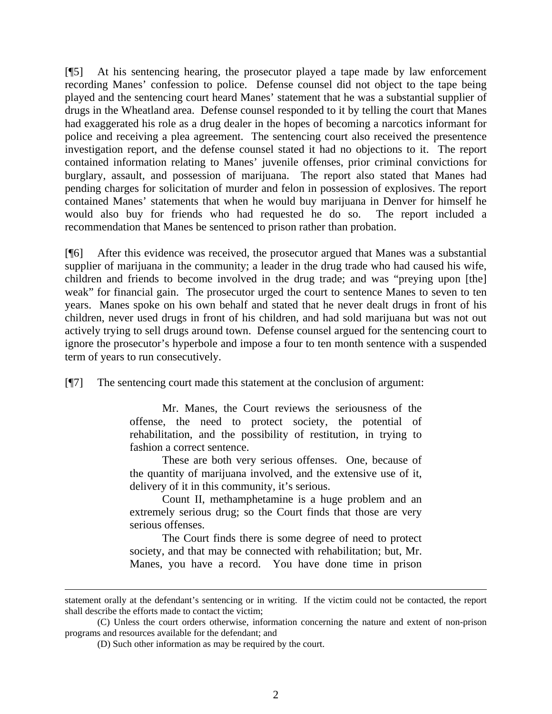[¶5] At his sentencing hearing, the prosecutor played a tape made by law enforcement recording Manes' confession to police. Defense counsel did not object to the tape being played and the sentencing court heard Manes' statement that he was a substantial supplier of drugs in the Wheatland area. Defense counsel responded to it by telling the court that Manes had exaggerated his role as a drug dealer in the hopes of becoming a narcotics informant for police and receiving a plea agreement. The sentencing court also received the presentence investigation report, and the defense counsel stated it had no objections to it. The report contained information relating to Manes' juvenile offenses, prior criminal convictions for burglary, assault, and possession of marijuana. The report also stated that Manes had pending charges for solicitation of murder and felon in possession of explosives. The report contained Manes' statements that when he would buy marijuana in Denver for himself he would also buy for friends who had requested he do so. The report included a recommendation that Manes be sentenced to prison rather than probation.

[¶6] After this evidence was received, the prosecutor argued that Manes was a substantial supplier of marijuana in the community; a leader in the drug trade who had caused his wife, children and friends to become involved in the drug trade; and was "preying upon [the] weak" for financial gain. The prosecutor urged the court to sentence Manes to seven to ten years. Manes spoke on his own behalf and stated that he never dealt drugs in front of his children, never used drugs in front of his children, and had sold marijuana but was not out actively trying to sell drugs around town. Defense counsel argued for the sentencing court to ignore the prosecutor's hyperbole and impose a four to ten month sentence with a suspended term of years to run consecutively.

[¶7] The sentencing court made this statement at the conclusion of argument:

Mr. Manes, the Court reviews the seriousness of the offense, the need to protect society, the potential of rehabilitation, and the possibility of restitution, in trying to fashion a correct sentence.

These are both very serious offenses. One, because of the quantity of marijuana involved, and the extensive use of it, delivery of it in this community, it's serious.

Count II, methamphetamine is a huge problem and an extremely serious drug; so the Court finds that those are very serious offenses.

The Court finds there is some degree of need to protect society, and that may be connected with rehabilitation; but, Mr. Manes, you have a record. You have done time in prison

l

statement orally at the defendant's sentencing or in writing. If the victim could not be contacted, the report shall describe the efforts made to contact the victim;

<sup>(</sup>C) Unless the court orders otherwise, information concerning the nature and extent of non-prison programs and resources available for the defendant; and

<sup>(</sup>D) Such other information as may be required by the court.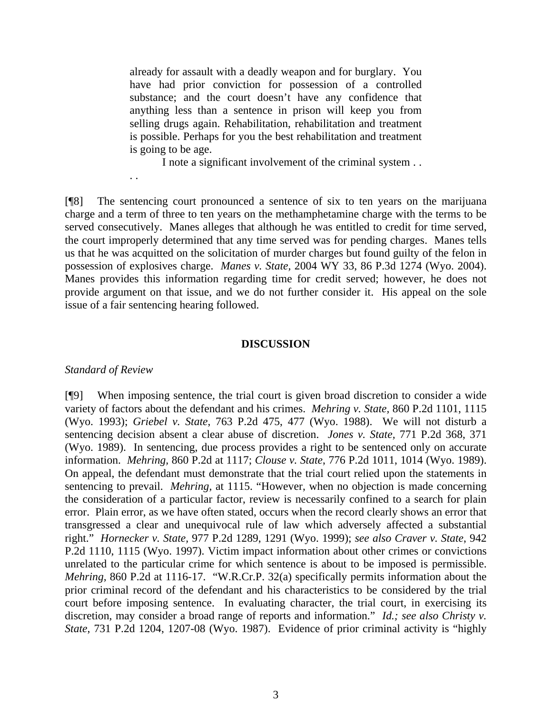already for assault with a deadly weapon and for burglary. You have had prior conviction for possession of a controlled substance; and the court doesn't have any confidence that anything less than a sentence in prison will keep you from selling drugs again. Rehabilitation, rehabilitation and treatment is possible. Perhaps for you the best rehabilitation and treatment is going to be age.

I note a significant involvement of the criminal system . .

[¶8] The sentencing court pronounced a sentence of six to ten years on the marijuana charge and a term of three to ten years on the methamphetamine charge with the terms to be served consecutively. Manes alleges that although he was entitled to credit for time served, the court improperly determined that any time served was for pending charges. Manes tells us that he was acquitted on the solicitation of murder charges but found guilty of the felon in possession of explosives charge. *Manes v. State,* 2004 WY 33, 86 P.3d 1274 (Wyo. 2004). Manes provides this information regarding time for credit served; however, he does not provide argument on that issue, and we do not further consider it. His appeal on the sole issue of a fair sentencing hearing followed.

#### **DISCUSSION**

#### *Standard of Review*

. .

[¶9] When imposing sentence, the trial court is given broad discretion to consider a wide variety of factors about the defendant and his crimes. *Mehring v. State,* 860 P.2d 1101, 1115 (Wyo. 1993); *Griebel v. State*, 763 P.2d 475, 477 (Wyo. 1988). We will not disturb a sentencing decision absent a clear abuse of discretion. *Jones v. State,* 771 P.2d 368, 371 (Wyo. 1989). In sentencing, due process provides a right to be sentenced only on accurate information. *Mehring,* 860 P.2d at 1117; *Clouse v. State*, 776 P.2d 1011, 1014 (Wyo. 1989). On appeal, the defendant must demonstrate that the trial court relied upon the statements in sentencing to prevail. *Mehring,* at 1115. "However, when no objection is made concerning the consideration of a particular factor, review is necessarily confined to a search for plain error. Plain error, as we have often stated, occurs when the record clearly shows an error that transgressed a clear and unequivocal rule of law which adversely affected a substantial right." *Hornecker v. State,* 977 P.2d 1289, 1291 (Wyo. 1999); *see also Craver v. State*, 942 P.2d 1110, 1115 (Wyo. 1997). Victim impact information about other crimes or convictions unrelated to the particular crime for which sentence is about to be imposed is permissible. *Mehring,* 860 P.2d at 1116-17. "W.R.Cr.P. 32(a) specifically permits information about the prior criminal record of the defendant and his characteristics to be considered by the trial court before imposing sentence. In evaluating character, the trial court, in exercising its discretion, may consider a broad range of reports and information." *Id.; see also Christy v. State*, 731 P.2d 1204, 1207-08 (Wyo. 1987). Evidence of prior criminal activity is "highly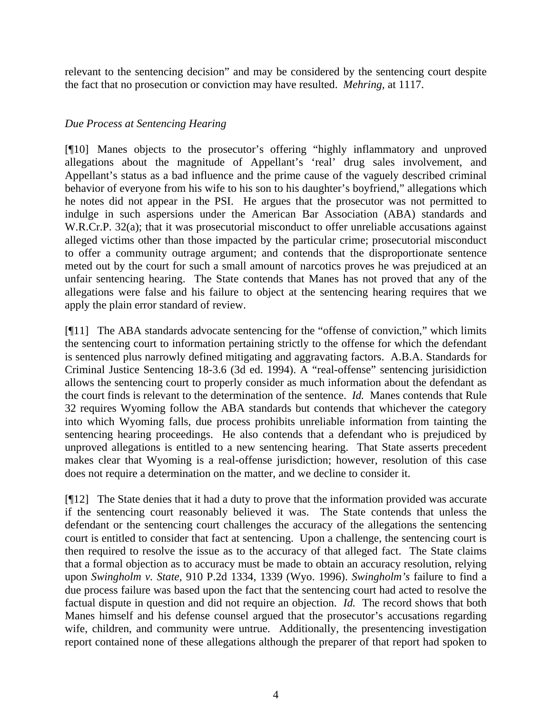relevant to the sentencing decision" and may be considered by the sentencing court despite the fact that no prosecution or conviction may have resulted. *Mehring,* at 1117.

# *Due Process at Sentencing Hearing*

[¶10] Manes objects to the prosecutor's offering "highly inflammatory and unproved allegations about the magnitude of Appellant's 'real' drug sales involvement, and Appellant's status as a bad influence and the prime cause of the vaguely described criminal behavior of everyone from his wife to his son to his daughter's boyfriend," allegations which he notes did not appear in the PSI. He argues that the prosecutor was not permitted to indulge in such aspersions under the American Bar Association (ABA) standards and W.R.Cr.P. 32(a); that it was prosecutorial misconduct to offer unreliable accusations against alleged victims other than those impacted by the particular crime; prosecutorial misconduct to offer a community outrage argument; and contends that the disproportionate sentence meted out by the court for such a small amount of narcotics proves he was prejudiced at an unfair sentencing hearing. The State contends that Manes has not proved that any of the allegations were false and his failure to object at the sentencing hearing requires that we apply the plain error standard of review.

[¶11] The ABA standards advocate sentencing for the "offense of conviction," which limits the sentencing court to information pertaining strictly to the offense for which the defendant is sentenced plus narrowly defined mitigating and aggravating factors. A.B.A. Standards for Criminal Justice Sentencing 18-3.6 (3d ed. 1994). A "real-offense" sentencing jurisidiction allows the sentencing court to properly consider as much information about the defendant as the court finds is relevant to the determination of the sentence. *Id.* Manes contends that Rule 32 requires Wyoming follow the ABA standards but contends that whichever the category into which Wyoming falls, due process prohibits unreliable information from tainting the sentencing hearing proceedings. He also contends that a defendant who is prejudiced by unproved allegations is entitled to a new sentencing hearing. That State asserts precedent makes clear that Wyoming is a real-offense jurisdiction; however, resolution of this case does not require a determination on the matter, and we decline to consider it.

[¶12] The State denies that it had a duty to prove that the information provided was accurate if the sentencing court reasonably believed it was. The State contends that unless the defendant or the sentencing court challenges the accuracy of the allegations the sentencing court is entitled to consider that fact at sentencing. Upon a challenge, the sentencing court is then required to resolve the issue as to the accuracy of that alleged fact. The State claims that a formal objection as to accuracy must be made to obtain an accuracy resolution, relying upon *Swingholm v. State,* 910 P.2d 1334, 1339 (Wyo. 1996). *Swingholm's* failure to find a due process failure was based upon the fact that the sentencing court had acted to resolve the factual dispute in question and did not require an objection. *Id.* The record shows that both Manes himself and his defense counsel argued that the prosecutor's accusations regarding wife, children, and community were untrue. Additionally, the presentencing investigation report contained none of these allegations although the preparer of that report had spoken to